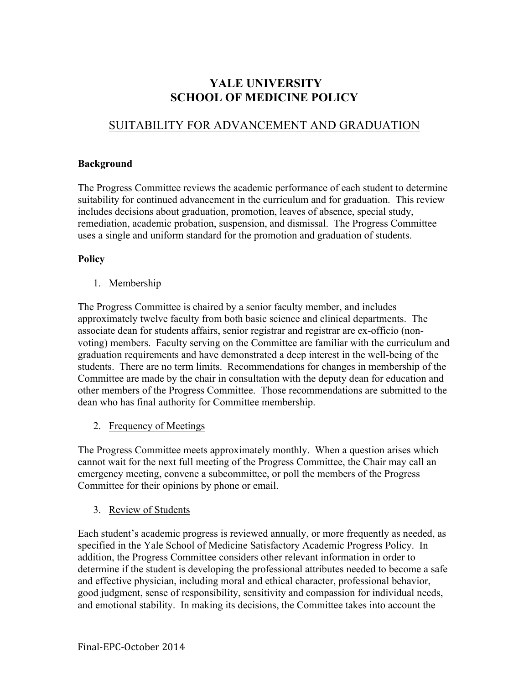# **YALE UNIVERSITY SCHOOL OF MEDICINE POLICY**

## SUITABILITY FOR ADVANCEMENT AND GRADUATION

#### **Background**

The Progress Committee reviews the academic performance of each student to determine suitability for continued advancement in the curriculum and for graduation. This review includes decisions about graduation, promotion, leaves of absence, special study, remediation, academic probation, suspension, and dismissal. The Progress Committee uses a single and uniform standard for the promotion and graduation of students.

### **Policy**

1. Membership

The Progress Committee is chaired by a senior faculty member, and includes approximately twelve faculty from both basic science and clinical departments. The associate dean for students affairs, senior registrar and registrar are ex-officio (nonvoting) members. Faculty serving on the Committee are familiar with the curriculum and graduation requirements and have demonstrated a deep interest in the well-being of the students. There are no term limits. Recommendations for changes in membership of the Committee are made by the chair in consultation with the deputy dean for education and other members of the Progress Committee. Those recommendations are submitted to the dean who has final authority for Committee membership.

2. Frequency of Meetings

The Progress Committee meets approximately monthly. When a question arises which cannot wait for the next full meeting of the Progress Committee, the Chair may call an emergency meeting, convene a subcommittee, or poll the members of the Progress Committee for their opinions by phone or email.

3. Review of Students

Each student's academic progress is reviewed annually, or more frequently as needed, as specified in the Yale School of Medicine Satisfactory Academic Progress Policy. In addition, the Progress Committee considers other relevant information in order to determine if the student is developing the professional attributes needed to become a safe and effective physician, including moral and ethical character, professional behavior, good judgment, sense of responsibility, sensitivity and compassion for individual needs, and emotional stability. In making its decisions, the Committee takes into account the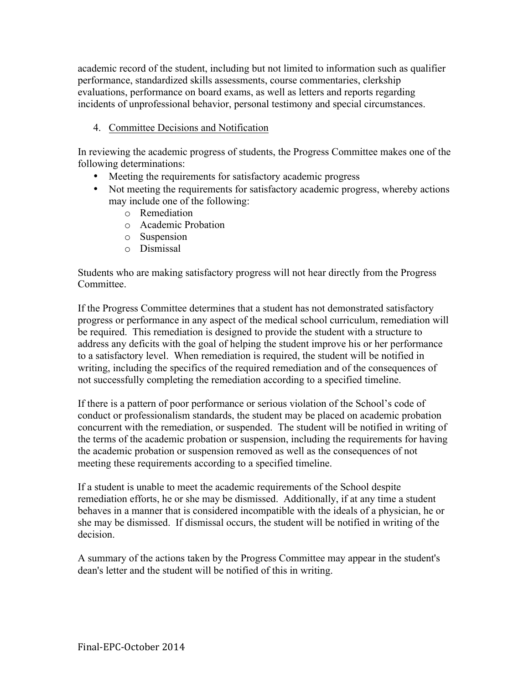academic record of the student, including but not limited to information such as qualifier performance, standardized skills assessments, course commentaries, clerkship evaluations, performance on board exams, as well as letters and reports regarding incidents of unprofessional behavior, personal testimony and special circumstances.

## 4. Committee Decisions and Notification

In reviewing the academic progress of students, the Progress Committee makes one of the following determinations:

- Meeting the requirements for satisfactory academic progress
- Not meeting the requirements for satisfactory academic progress, whereby actions may include one of the following:
	- o Remediation
	- o Academic Probation
	- o Suspension
	- o Dismissal

Students who are making satisfactory progress will not hear directly from the Progress Committee.

If the Progress Committee determines that a student has not demonstrated satisfactory progress or performance in any aspect of the medical school curriculum, remediation will be required. This remediation is designed to provide the student with a structure to address any deficits with the goal of helping the student improve his or her performance to a satisfactory level. When remediation is required, the student will be notified in writing, including the specifics of the required remediation and of the consequences of not successfully completing the remediation according to a specified timeline.

If there is a pattern of poor performance or serious violation of the School's code of conduct or professionalism standards, the student may be placed on academic probation concurrent with the remediation, or suspended. The student will be notified in writing of the terms of the academic probation or suspension, including the requirements for having the academic probation or suspension removed as well as the consequences of not meeting these requirements according to a specified timeline.

If a student is unable to meet the academic requirements of the School despite remediation efforts, he or she may be dismissed. Additionally, if at any time a student behaves in a manner that is considered incompatible with the ideals of a physician, he or she may be dismissed. If dismissal occurs, the student will be notified in writing of the decision.

A summary of the actions taken by the Progress Committee may appear in the student's dean's letter and the student will be notified of this in writing.